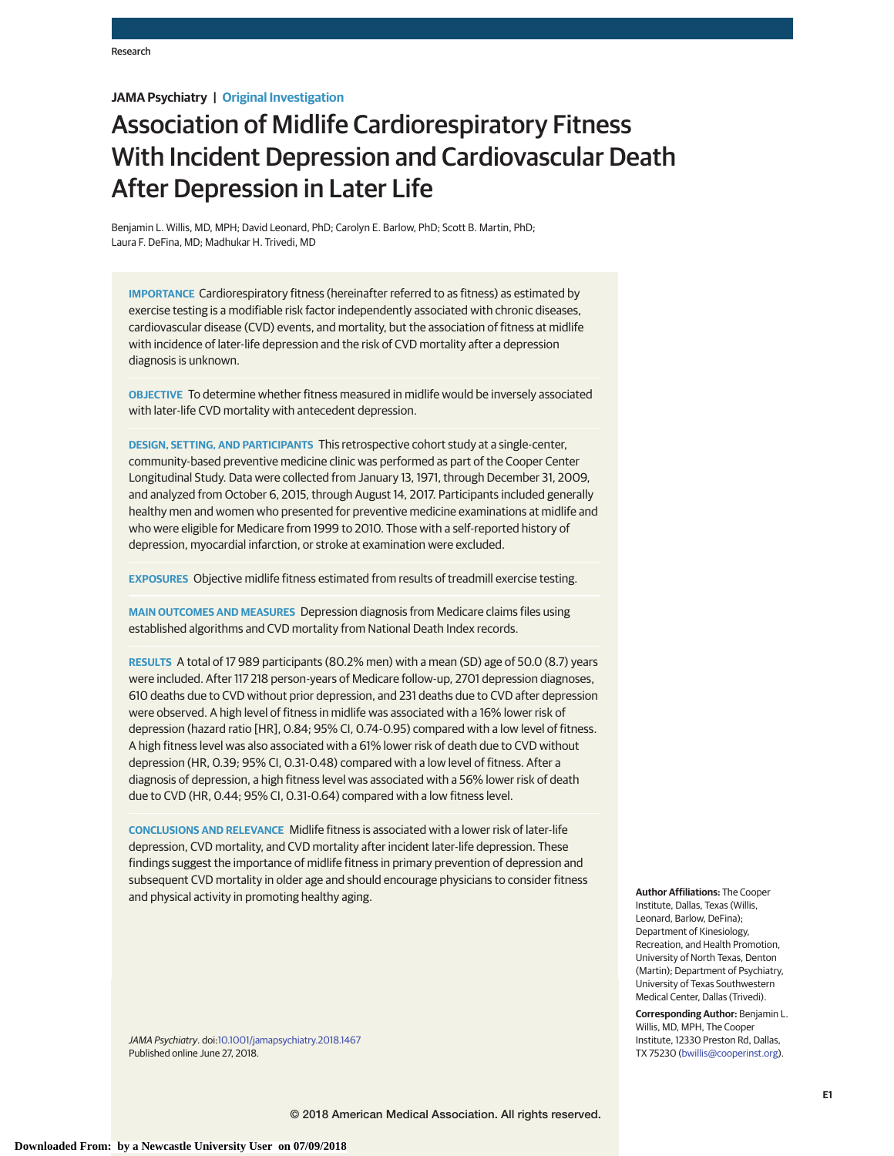# **JAMA Psychiatry | Original Investigation**

# Association of Midlife Cardiorespiratory Fitness With Incident Depression and Cardiovascular Death After Depression in Later Life

Benjamin L. Willis, MD, MPH; David Leonard, PhD; Carolyn E. Barlow, PhD; Scott B. Martin, PhD; Laura F. DeFina, MD; Madhukar H. Trivedi, MD

**IMPORTANCE** Cardiorespiratory fitness (hereinafter referred to as fitness) as estimated by exercise testing is a modifiable risk factor independently associated with chronic diseases, cardiovascular disease (CVD) events, and mortality, but the association of fitness at midlife with incidence of later-life depression and the risk of CVD mortality after a depression diagnosis is unknown.

**OBJECTIVE** To determine whether fitness measured in midlife would be inversely associated with later-life CVD mortality with antecedent depression.

**DESIGN, SETTING, AND PARTICIPANTS** This retrospective cohort study at a single-center, community-based preventive medicine clinic was performed as part of the Cooper Center Longitudinal Study. Data were collected from January 13, 1971, through December 31, 2009, and analyzed from October 6, 2015, through August 14, 2017. Participants included generally healthy men and women who presented for preventive medicine examinations at midlife and who were eligible for Medicare from 1999 to 2010. Those with a self-reported history of depression, myocardial infarction, or stroke at examination were excluded.

**EXPOSURES** Objective midlife fitness estimated from results of treadmill exercise testing.

**MAIN OUTCOMES AND MEASURES** Depression diagnosis from Medicare claims files using established algorithms and CVD mortality from National Death Index records.

**RESULTS** A total of 17 989 participants (80.2% men) with a mean (SD) age of 50.0 (8.7) years were included. After 117 218 person-years of Medicare follow-up, 2701 depression diagnoses, 610 deaths due to CVD without prior depression, and 231 deaths due to CVD after depression were observed. A high level of fitness in midlife was associated with a 16% lower risk of depression (hazard ratio [HR], 0.84; 95% CI, 0.74-0.95) compared with a low level of fitness. A high fitness level was also associated with a 61% lower risk of death due to CVD without depression (HR, 0.39; 95% CI, 0.31-0.48) compared with a low level of fitness. After a diagnosis of depression, a high fitness level was associated with a 56% lower risk of death due to CVD (HR, 0.44; 95% CI, 0.31-0.64) compared with a low fitness level.

**CONCLUSIONS AND RELEVANCE** Midlife fitness is associated with a lower risk of later-life depression, CVD mortality, and CVD mortality after incident later-life depression. These findings suggest the importance of midlife fitness in primary prevention of depression and subsequent CVD mortality in older age and should encourage physicians to consider fitness and physical activity in promoting healthy aging.

JAMA Psychiatry. doi[:10.1001/jamapsychiatry.2018.1467](https://jama.jamanetwork.com/article.aspx?doi=10.1001/jamapsychiatry.2018.1467&utm_campaign=articlePDF%26utm_medium=articlePDFlink%26utm_source=articlePDF%26utm_content=jamapsychiatry.2018.1467) Published online June 27, 2018.

**Author Affiliations:** The Cooper Institute, Dallas, Texas (Willis, Leonard, Barlow, DeFina); Department of Kinesiology, Recreation, and Health Promotion, University of North Texas, Denton (Martin); Department of Psychiatry, University of Texas Southwestern Medical Center, Dallas (Trivedi).

**Corresponding Author:** Benjamin L. Willis, MD, MPH, The Cooper Institute, 12330 Preston Rd, Dallas, TX 75230 [\(bwillis@cooperinst.org\)](mailto:bwillis@cooperinst.org).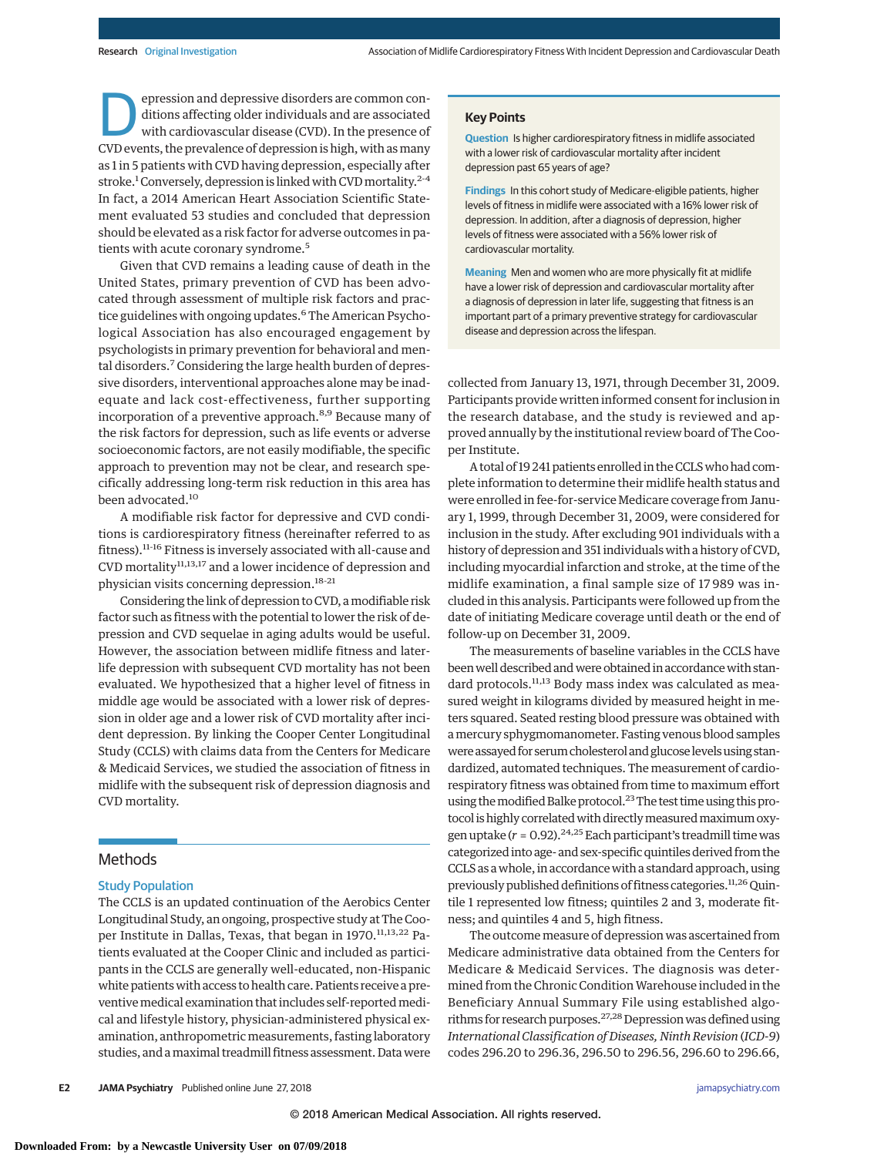epression and depressive disorders are common conditions affecting older individuals and are associated with cardiovascular disease (CVD). In the presence of CVD events, the prevalence of depression is high, with as many as 1 in 5 patients with CVD having depression, especially after stroke.<sup>1</sup> Conversely, depression is linked with CVD mortality.<sup>2-4</sup> In fact, a 2014 American Heart Association Scientific Statement evaluated 53 studies and concluded that depression should be elevated as a risk factor for adverse outcomes in patients with acute coronary syndrome.<sup>5</sup>

Given that CVD remains a leading cause of death in the United States, primary prevention of CVD has been advocated through assessment of multiple risk factors and practice guidelines with ongoing updates.<sup>6</sup> The American Psychological Association has also encouraged engagement by psychologists in primary prevention for behavioral and mental disorders.<sup>7</sup> Considering the large health burden of depressive disorders, interventional approaches alone may be inadequate and lack cost-effectiveness, further supporting incorporation of a preventive approach.<sup>8,9</sup> Because many of the risk factors for depression, such as life events or adverse socioeconomic factors, are not easily modifiable, the specific approach to prevention may not be clear, and research specifically addressing long-term risk reduction in this area has been advocated.<sup>10</sup>

A modifiable risk factor for depressive and CVD conditions is cardiorespiratory fitness (hereinafter referred to as fitness).11-16 Fitness is inversely associated with all-cause and CVD mortality<sup>11,13,17</sup> and a lower incidence of depression and physician visits concerning depression.<sup>18-21</sup>

Considering the link of depression to CVD, amodifiable risk factor such as fitness with the potential to lower the risk of depression and CVD sequelae in aging adults would be useful. However, the association between midlife fitness and laterlife depression with subsequent CVD mortality has not been evaluated. We hypothesized that a higher level of fitness in middle age would be associated with a lower risk of depression in older age and a lower risk of CVD mortality after incident depression. By linking the Cooper Center Longitudinal Study (CCLS) with claims data from the Centers for Medicare & Medicaid Services, we studied the association of fitness in midlife with the subsequent risk of depression diagnosis and CVD mortality.

## Methods

### Study Population

The CCLS is an updated continuation of the Aerobics Center Longitudinal Study, an ongoing, prospective study at The Cooper Institute in Dallas, Texas, that began in 1970.<sup>11,13,22</sup> Patients evaluated at the Cooper Clinic and included as participants in the CCLS are generally well-educated, non-Hispanic white patients with access to health care. Patients receive a preventive medical examination that includes self-reported medical and lifestyle history, physician-administered physical examination, anthropometric measurements, fasting laboratory studies, and amaximal treadmill fitness assessment. Data were

#### **Key Points**

**Question** Is higher cardiorespiratory fitness in midlife associated with a lower risk of cardiovascular mortality after incident depression past 65 years of age?

**Findings** In this cohort study of Medicare-eligible patients, higher levels of fitness in midlife were associated with a 16% lower risk of depression. In addition, after a diagnosis of depression, higher levels of fitness were associated with a 56% lower risk of cardiovascular mortality.

**Meaning** Men and women who are more physically fit at midlife have a lower risk of depression and cardiovascular mortality after a diagnosis of depression in later life, suggesting that fitness is an important part of a primary preventive strategy for cardiovascular disease and depression across the lifespan.

collected from January 13, 1971, through December 31, 2009. Participants provide written informed consent for inclusion in the research database, and the study is reviewed and approved annually by the institutional review board of The Cooper Institute.

A total of 19 241 patients enrolled in the CCLSwho had complete information to determine their midlife health status and were enrolled in fee-for-service Medicare coverage from January 1, 1999, through December 31, 2009, were considered for inclusion in the study. After excluding 901 individuals with a history of depression and 351 individuals with a history of CVD, including myocardial infarction and stroke, at the time of the midlife examination, a final sample size of 17 989 was included in this analysis. Participants were followed up from the date of initiating Medicare coverage until death or the end of follow-up on December 31, 2009.

The measurements of baseline variables in the CCLS have been well described and were obtained in accordance with standard protocols.<sup>11,13</sup> Body mass index was calculated as measured weight in kilograms divided by measured height in meters squared. Seated resting blood pressure was obtained with amercury sphygmomanometer. Fasting venous blood samples were assayed for serum cholesterol and glucose levels using standardized, automated techniques. The measurement of cardiorespiratory fitness was obtained from time to maximum effort using the modified Balke protocol.<sup>23</sup> The test time using this protocol is highly correlated with directly measured maximum oxygen uptake  $(r = 0.92)$ .<sup>24,25</sup> Each participant's treadmill time was categorized into age- and sex-specific quintiles derived from the CCLS as a whole, in accordance with a standard approach, using previously published definitions of fitness categories.<sup>11,26</sup> Quintile 1 represented low fitness; quintiles 2 and 3, moderate fitness; and quintiles 4 and 5, high fitness.

The outcome measure of depression was ascertained from Medicare administrative data obtained from the Centers for Medicare & Medicaid Services. The diagnosis was determined from the Chronic Condition Warehouse included in the Beneficiary Annual Summary File using established algorithms for research purposes.<sup>27,28</sup> Depression was defined using *International Classification of Diseases, Ninth Revision* (*ICD-9*) codes 296.20 to 296.36, 296.50 to 296.56, 296.60 to 296.66,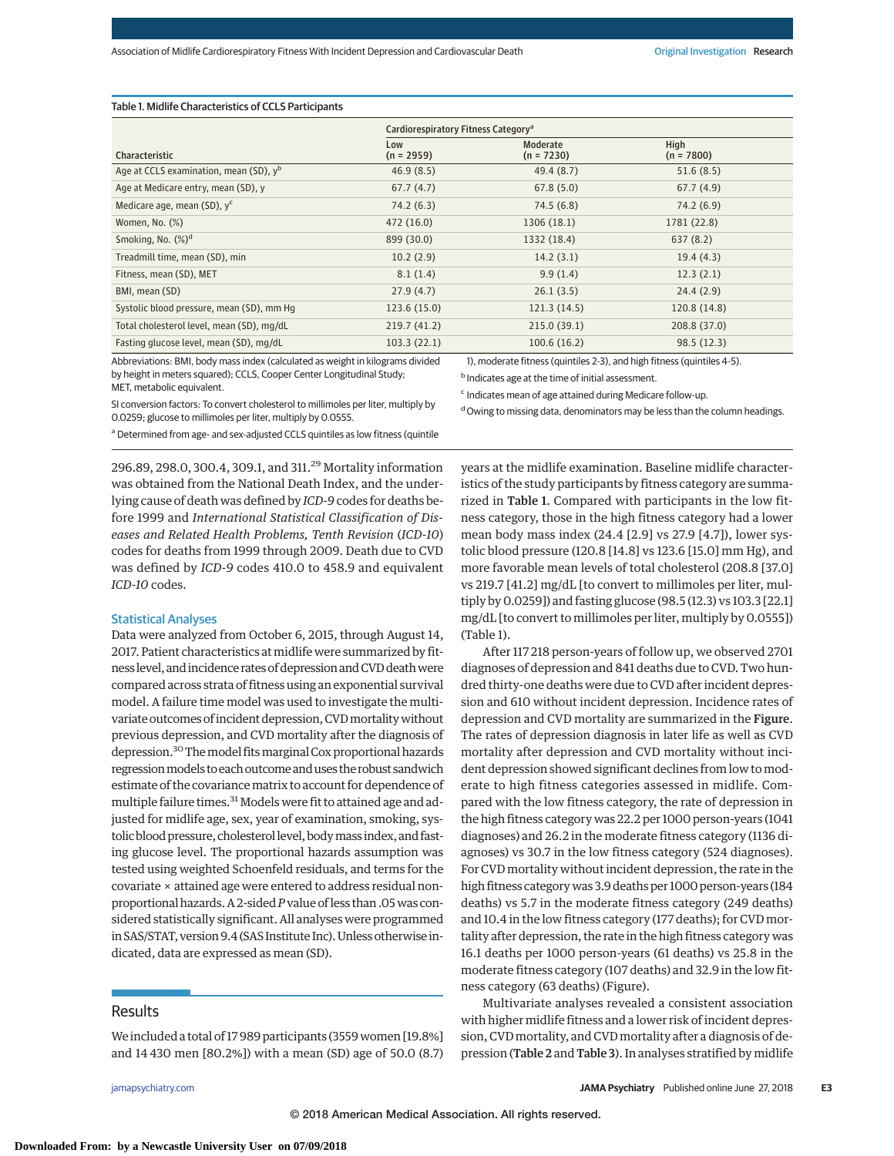#### Table 1. Midlife Characteristics of CCLS Participants

|                                                    | Cardiorespiratory Fitness Category <sup>a</sup> |                          |                      |  |  |  |
|----------------------------------------------------|-------------------------------------------------|--------------------------|----------------------|--|--|--|
| <b>Characteristic</b>                              | Low<br>$(n = 2959)$                             | Moderate<br>$(n = 7230)$ | High<br>$(n = 7800)$ |  |  |  |
| Age at CCLS examination, mean (SD), y <sup>b</sup> | 46.9(8.5)                                       | 49.4 (8.7)               | 51.6(8.5)            |  |  |  |
| Age at Medicare entry, mean (SD), y                | 67.7(4.7)                                       | 67.8(5.0)                | 67.7(4.9)            |  |  |  |
| Medicare age, mean (SD), y <sup>c</sup>            | 74.2 (6.3)                                      | 74.5(6.8)                | 74.2 (6.9)           |  |  |  |
| Women, No. $(\%)$                                  | 472 (16.0)                                      | 1306 (18.1)              | 1781 (22.8)          |  |  |  |
| Smoking, No. (%) <sup>d</sup>                      | 899 (30.0)                                      | 1332 (18.4)              | 637(8.2)             |  |  |  |
| Treadmill time, mean (SD), min                     | 10.2(2.9)                                       | 14.2(3.1)                | 19.4(4.3)            |  |  |  |
| Fitness, mean (SD), MET                            | 8.1(1.4)                                        | 9.9(1.4)                 | 12.3(2.1)            |  |  |  |
| BMI, mean (SD)                                     | 27.9(4.7)                                       | 26.1(3.5)                | 24.4(2.9)            |  |  |  |
| Systolic blood pressure, mean (SD), mm Hq          | 123.6(15.0)                                     | 121.3(14.5)              | 120.8 (14.8)         |  |  |  |
| Total cholesterol level, mean (SD), mg/dL          | 219.7 (41.2)                                    | 215.0(39.1)              | 208.8 (37.0)         |  |  |  |
| Fasting glucose level, mean (SD), mg/dL            | 103.3(22.1)                                     | 100.6(16.2)              | 98.5(12.3)           |  |  |  |

Abbreviations: BMI, body mass index (calculated as weight in kilograms divided by height in meters squared); CCLS, Cooper Center Longitudinal Study; MET, metabolic equivalent.

SI conversion factors: To convert cholesterol to millimoles per liter, multiply by 0.0259; glucose to millimoles per liter, multiply by 0.0555.

a Determined from age- and sex-adjusted CCLS quintiles as low fitness (quintile

296.89, 298.0, 300.4, 309.1, and 311.<sup>29</sup> Mortality information was obtained from the National Death Index, and the underlying cause of death was defined by *ICD-9* codes for deaths before 1999 and *International Statistical Classification of Diseases and Related Health Problems, Tenth Revision* (*ICD-10*) codes for deaths from 1999 through 2009. Death due to CVD was defined by *ICD-9* codes 410.0 to 458.9 and equivalent *ICD-10* codes.

#### Statistical Analyses

Data were analyzed from October 6, 2015, through August 14, 2017. Patient characteristics at midlife were summarized by fitness level, and incidence rates of depression and CVD death were compared across strata of fitness using an exponential survival model. A failure time model was used to investigate the multivariate outcomes of incident depression, CVD mortality without previous depression, and CVD mortality after the diagnosis of depression.<sup>30</sup> The model fits marginal Cox proportional hazards regression models to each outcome and uses the robust sandwich estimate of the covariance matrix to account for dependence of multiple failure times.<sup>31</sup> Models were fit to attained age and adjusted for midlife age, sex, year of examination, smoking, systolic blood pressure, cholesterol level, body mass index, and fasting glucose level. The proportional hazards assumption was tested using weighted Schoenfeld residuals, and terms for the covariate × attained age were entered to address residual nonproportional hazards. A 2-sided*P*value of less than .05was considered statistically significant. All analyses were programmed in SAS/STAT, version 9.4 (SAS Institute Inc). Unless otherwise indicated, data are expressed as mean (SD).

## Results

We included a total of 17 989 participants (3559 women [19.8%] and 14 430 men [80.2%]) with a mean (SD) age of 50.0 (8.7)

1), moderate fitness (quintiles 2-3), and high fitness (quintiles 4-5).

b Indicates age at the time of initial assessment.

<sup>c</sup> Indicates mean of age attained during Medicare follow-up.

<sup>d</sup> Owing to missing data, denominators may be less than the column headings.

years at the midlife examination. Baseline midlife characteristics of the study participants by fitness category are summarized in Table 1. Compared with participants in the low fitness category, those in the high fitness category had a lower mean body mass index (24.4 [2.9] vs 27.9 [4.7]), lower systolic blood pressure (120.8 [14.8] vs 123.6 [15.0] mm Hg), and more favorable mean levels of total cholesterol (208.8 [37.0] vs 219.7 [41.2] mg/dL [to convert to millimoles per liter, multiply by 0.0259]) and fasting glucose (98.5 (12.3) vs 103.3 [22.1] mg/dL [to convert to millimoles per liter, multiply by 0.0555]) (Table 1).

After 117 218 person-years of follow up, we observed 2701 diagnoses of depression and 841 deaths due to CVD. Two hundred thirty-one deaths were due to CVD after incident depression and 610 without incident depression. Incidence rates of depression and CVD mortality are summarized in the Figure. The rates of depression diagnosis in later life as well as CVD mortality after depression and CVD mortality without incident depression showed significant declines from low to moderate to high fitness categories assessed in midlife. Compared with the low fitness category, the rate of depression in the high fitness category was 22.2 per 1000 person-years (1041 diagnoses) and 26.2 in the moderate fitness category (1136 diagnoses) vs 30.7 in the low fitness category (524 diagnoses). For CVD mortality without incident depression, the rate in the high fitness categorywas 3.9 deaths per 1000 person-years (184 deaths) vs 5.7 in the moderate fitness category (249 deaths) and 10.4 in the low fitness category (177 deaths); for CVD mortality after depression, the rate in the high fitness category was 16.1 deaths per 1000 person-years (61 deaths) vs 25.8 in the moderate fitness category (107 deaths) and 32.9 in the low fitness category (63 deaths) (Figure).

Multivariate analyses revealed a consistent association with higher midlife fitness and a lower risk of incident depression, CVD mortality, and CVD mortality after a diagnosis of depression (Table 2 and Table 3). In analyses stratified by midlife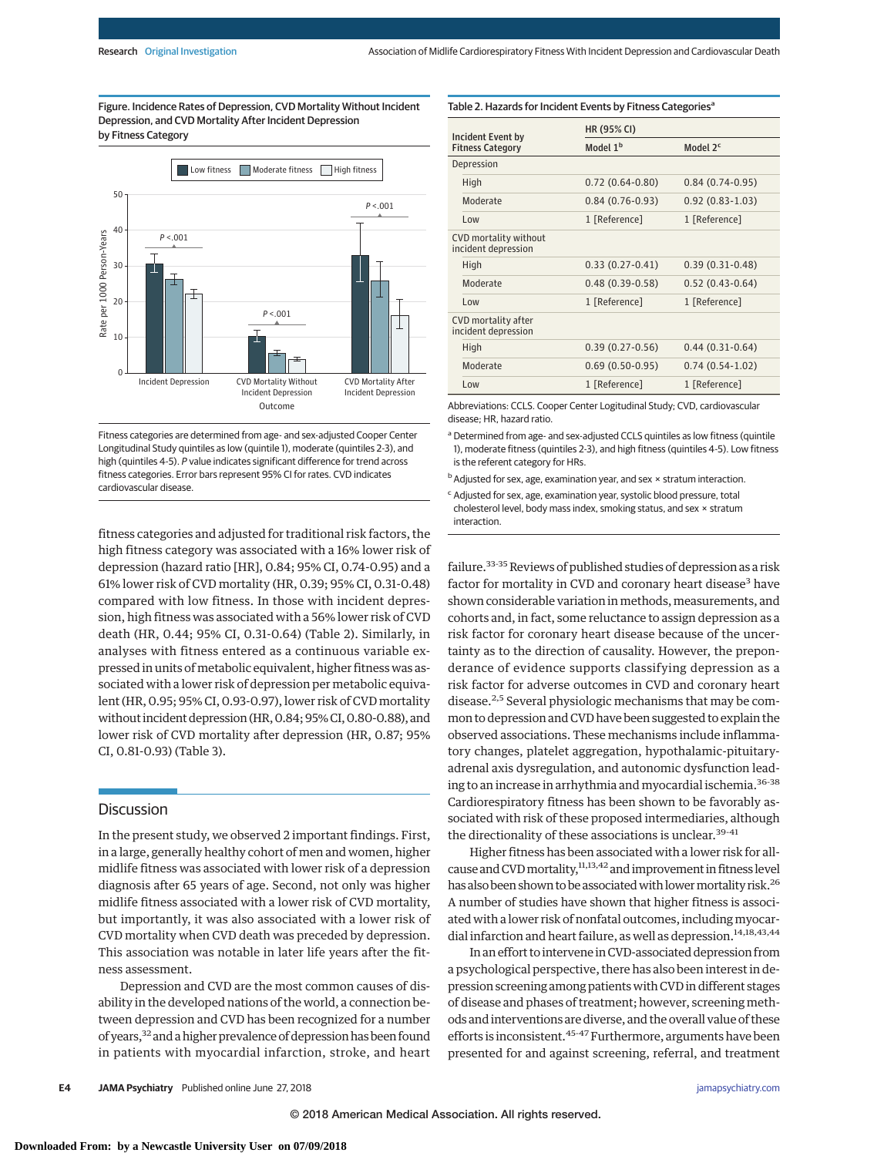Table 2. Hazards for Incident Events by Fitness Categories<sup>a</sup>

Figure. Incidence Rates of Depression, CVD Mortality Without Incident Depression, and CVD Mortality After Incident Depression by Fitness Category



Fitness categories are determined from age- and sex-adjusted Cooper Center Longitudinal Study quintiles as low (quintile 1), moderate (quintiles 2-3), and high (quintiles 4-5). P value indicates significant difference for trend across fitness categories. Error bars represent 95% CI for rates. CVD indicates cardiovascular disease.

fitness categories and adjusted for traditional risk factors, the high fitness category was associated with a 16% lower risk of depression (hazard ratio [HR], 0.84; 95% CI, 0.74-0.95) and a 61% lower risk of CVD mortality (HR, 0.39; 95% CI, 0.31-0.48) compared with low fitness. In those with incident depression, high fitness was associated with a 56% lower risk of CVD death (HR, 0.44; 95% CI, 0.31-0.64) (Table 2). Similarly, in analyses with fitness entered as a continuous variable expressed in units of metabolic equivalent, higher fitness was associated with a lower risk of depression per metabolic equivalent (HR, 0.95; 95% CI, 0.93-0.97), lower risk of CVD mortality without incident depression (HR, 0.84; 95% CI, 0.80-0.88), and lower risk of CVD mortality after depression (HR, 0.87; 95% CI, 0.81-0.93) (Table 3).

# **Discussion**

In the present study, we observed 2 important findings. First, in a large, generally healthy cohort of men and women, higher midlife fitness was associated with lower risk of a depression diagnosis after 65 years of age. Second, not only was higher midlife fitness associated with a lower risk of CVD mortality, but importantly, it was also associated with a lower risk of CVD mortality when CVD death was preceded by depression. This association was notable in later life years after the fitness assessment.

Depression and CVD are the most common causes of disability in the developed nations of the world, a connection between depression and CVD has been recognized for a number of years,<sup>32</sup> and a higher prevalence of depression has been found in patients with myocardial infarction, stroke, and heart

| Incident Event by                            | HR (95% CI)          |                      |  |
|----------------------------------------------|----------------------|----------------------|--|
| <b>Fitness Category</b>                      | Model 1 <sup>b</sup> | Model 2 <sup>c</sup> |  |
| Depression                                   |                      |                      |  |
| High                                         | $0.72(0.64-0.80)$    | $0.84(0.74-0.95)$    |  |
| Moderate                                     | $0.84(0.76-0.93)$    | $0.92(0.83 - 1.03)$  |  |
| $1 \text{ow}$                                | 1 [Reference]        | 1 [Reference]        |  |
| CVD mortality without<br>incident depression |                      |                      |  |
| High                                         | $0.33(0.27-0.41)$    | $0.39(0.31-0.48)$    |  |
| Moderate                                     | $0.48(0.39-0.58)$    | $0.52(0.43-0.64)$    |  |
| $1 \text{0}$                                 | 1 [Reference]        | 1 [Reference]        |  |
| CVD mortality after<br>incident depression   |                      |                      |  |
| High                                         | $0.39(0.27-0.56)$    | $0.44(0.31-0.64)$    |  |
| Moderate                                     | $0.69(0.50-0.95)$    | $0.74(0.54-1.02)$    |  |
| Low                                          | 1 [Reference]        | 1 [Reference]        |  |

Abbreviations: CCLS. Cooper Center Logitudinal Study; CVD, cardiovascular disease; HR, hazard ratio.

a Determined from age- and sex-adjusted CCLS quintiles as low fitness (quintile 1), moderate fitness (quintiles 2-3), and high fitness (quintiles 4-5). Low fitness is the referent category for HRs.

 $b$  Adjusted for sex, age, examination year, and sex  $\times$  stratum interaction.

<sup>c</sup> Adjusted for sex, age, examination year, systolic blood pressure, total cholesterol level, body mass index, smoking status, and sex × stratum interaction.

failure.<sup>33-35</sup> Reviews of published studies of depression as a risk factor for mortality in CVD and coronary heart disease<sup>3</sup> have shown considerable variation in methods, measurements, and cohorts and, in fact, some reluctance to assign depression as a risk factor for coronary heart disease because of the uncertainty as to the direction of causality. However, the preponderance of evidence supports classifying depression as a risk factor for adverse outcomes in CVD and coronary heart disease.2,5 Several physiologic mechanisms that may be common to depression and CVD have been suggested to explain the observed associations. These mechanisms include inflammatory changes, platelet aggregation, hypothalamic-pituitaryadrenal axis dysregulation, and autonomic dysfunction leading to an increase in arrhythmia and myocardial ischemia.36-38 Cardiorespiratory fitness has been shown to be favorably associated with risk of these proposed intermediaries, although the directionality of these associations is unclear.<sup>39-41</sup>

Higher fitness has been associated with a lower risk for allcause and CVD mortality,<sup>11,13,42</sup> and improvement in fitness level has also been shown to be associated with lower mortality risk.<sup>26</sup> A number of studies have shown that higher fitness is associated with a lower risk of nonfatal outcomes, including myocardial infarction and heart failure, as well as depression.<sup>14,18,43,44</sup>

In an effort to intervene in CVD-associated depression from a psychological perspective, there has also been interest in depression screening among patients with CVD in different stages of disease and phases of treatment; however, screening methods and interventions are diverse, and the overall value of these efforts is inconsistent.<sup>45-47</sup> Furthermore, arguments have been presented for and against screening, referral, and treatment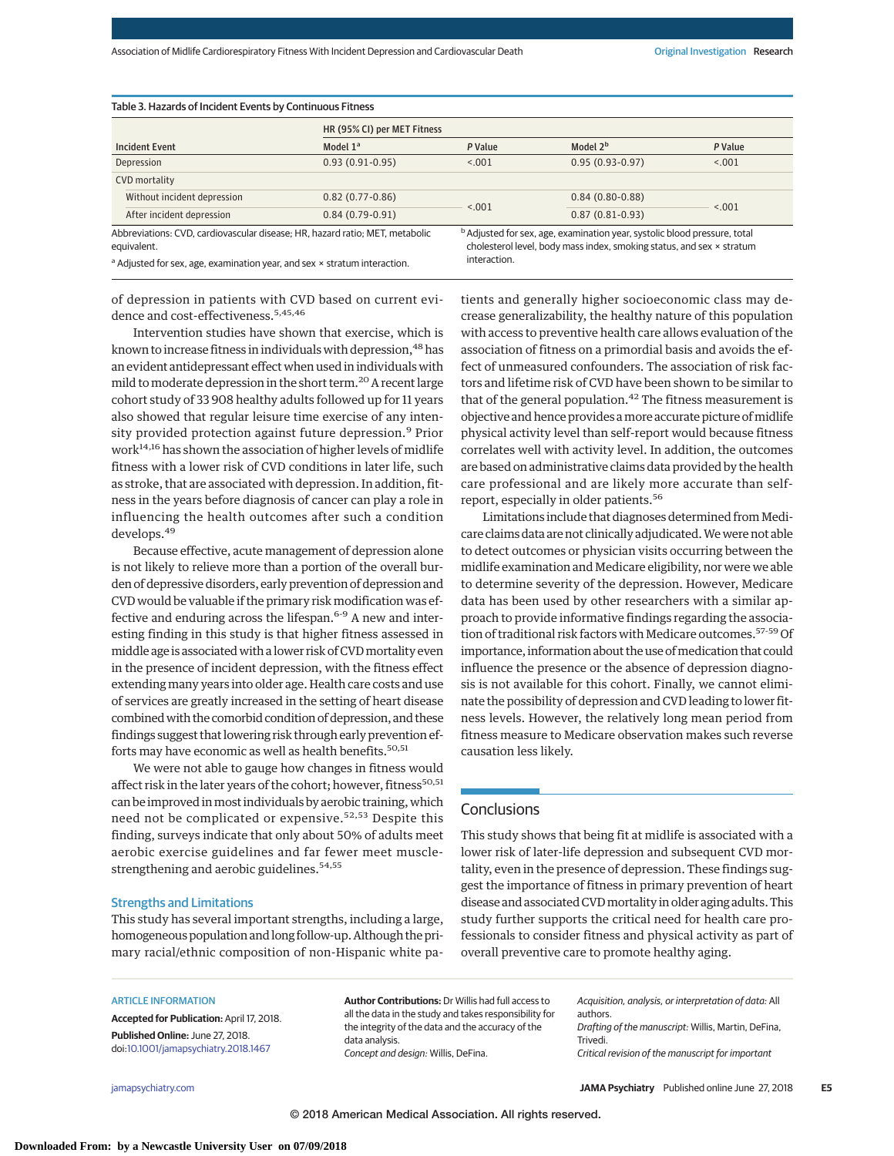| Table 3. Hazards of Incident Events by Continuous Fitness                                   |                             |         |                                                                                                                                                                               |         |  |  |  |
|---------------------------------------------------------------------------------------------|-----------------------------|---------|-------------------------------------------------------------------------------------------------------------------------------------------------------------------------------|---------|--|--|--|
|                                                                                             | HR (95% CI) per MET Fitness |         |                                                                                                                                                                               |         |  |  |  |
| <b>Incident Event</b>                                                                       | Model $1a$                  | P Value | Model 2 <sup>b</sup>                                                                                                                                                          | P Value |  |  |  |
| Depression                                                                                  | $0.93(0.91-0.95)$           | < .001  | $0.95(0.93 - 0.97)$                                                                                                                                                           | < .001  |  |  |  |
| CVD mortality                                                                               |                             |         |                                                                                                                                                                               |         |  |  |  |
| Without incident depression                                                                 | $0.82(0.77-0.86)$           | < 0.001 | $0.84(0.80-0.88)$                                                                                                                                                             |         |  |  |  |
| After incident depression                                                                   | $0.84(0.79-0.91)$           |         | $0.87(0.81 - 0.93)$                                                                                                                                                           | < 0.001 |  |  |  |
| Abbreviations: CVD, cardiovascular disease; HR, hazard ratio; MET, metabolic<br>equivalent. |                             |         | <sup>b</sup> Adjusted for sex, age, examination year, systolic blood pressure, total<br>cholesterol level, body mass index, smoking status, and sex x stratum<br>interaction. |         |  |  |  |
| <sup>a</sup> Adjusted for sex, age, examination year, and sex x stratum interaction.        |                             |         |                                                                                                                                                                               |         |  |  |  |

of depression in patients with CVD based on current evidence and cost-effectiveness.<sup>5,45,46</sup>

Intervention studies have shown that exercise, which is known to increase fitness in individuals with depression,  $48$  has an evident antidepressant effect when used in individuals with mild to moderate depression in the short term.<sup>20</sup> A recent large cohort study of 33 908 healthy adults followed up for 11 years also showed that regular leisure time exercise of any intensity provided protection against future depression.<sup>9</sup> Prior work<sup>14,16</sup> has shown the association of higher levels of midlife fitness with a lower risk of CVD conditions in later life, such as stroke, that are associated with depression. In addition, fitness in the years before diagnosis of cancer can play a role in influencing the health outcomes after such a condition develops.<sup>49</sup>

Because effective, acute management of depression alone is not likely to relieve more than a portion of the overall burden of depressive disorders, early prevention of depression and CVD would be valuable if the primary risk modification was effective and enduring across the lifespan.<sup>6-9</sup> A new and interesting finding in this study is that higher fitness assessed in middle age is associated with a lower risk of CVD mortality even in the presence of incident depression, with the fitness effect extending many years into older age. Health care costs and use of services are greatly increased in the setting of heart disease combined with the comorbid condition of depression, and these findings suggest that lowering risk through early prevention efforts may have economic as well as health benefits.<sup>50,51</sup>

We were not able to gauge how changes in fitness would affect risk in the later years of the cohort; however, fitness<sup>50,51</sup> can be improved inmost individuals by aerobic training, which need not be complicated or expensive.<sup>52,53</sup> Despite this finding, surveys indicate that only about 50% of adults meet aerobic exercise guidelines and far fewer meet musclestrengthening and aerobic guidelines.<sup>54,55</sup>

#### Strengths and Limitations

This study has several important strengths, including a large, homogeneous population and long follow-up. Although the primary racial/ethnic composition of non-Hispanic white patients and generally higher socioeconomic class may decrease generalizability, the healthy nature of this population with access to preventive health care allows evaluation of the association of fitness on a primordial basis and avoids the effect of unmeasured confounders. The association of risk factors and lifetime risk of CVD have been shown to be similar to that of the general population. $42$  The fitness measurement is objective and hence provides a more accurate picture of midlife physical activity level than self-report would because fitness correlates well with activity level. In addition, the outcomes are based on administrative claims data provided by the health care professional and are likely more accurate than selfreport, especially in older patients.<sup>56</sup>

Limitations include that diagnoses determined from Medicare claims data are not clinically adjudicated.We were not able to detect outcomes or physician visits occurring between the midlife examination and Medicare eligibility, nor were we able to determine severity of the depression. However, Medicare data has been used by other researchers with a similar approach to provide informative findings regarding the association of traditional risk factors with Medicare outcomes.<sup>57-59</sup> Of importance, information about the use of medication that could influence the presence or the absence of depression diagnosis is not available for this cohort. Finally, we cannot eliminate the possibility of depression and CVD leading to lower fitness levels. However, the relatively long mean period from fitness measure to Medicare observation makes such reverse causation less likely.

# **Conclusions**

This study shows that being fit at midlife is associated with a lower risk of later-life depression and subsequent CVD mortality, even in the presence of depression. These findings suggest the importance of fitness in primary prevention of heart disease and associated CVDmortality in older aging adults. This study further supports the critical need for health care professionals to consider fitness and physical activity as part of overall preventive care to promote healthy aging.

#### ARTICLE INFORMATION

**Accepted for Publication:** April 17, 2018. **Published Online:** June 27, 2018. doi[:10.1001/jamapsychiatry.2018.1467](https://jama.jamanetwork.com/article.aspx?doi=10.1001/jamapsychiatry.2018.1467&utm_campaign=articlePDF%26utm_medium=articlePDFlink%26utm_source=articlePDF%26utm_content=jamapsychiatry.2018.1467)

**Author Contributions:** Dr Willis had full access to all the data in the study and takes responsibility for the integrity of the data and the accuracy of the data analysis. Concept and design: Willis, DeFina.

Acquisition, analysis, or interpretation of data: All authors. Drafting of the manuscript: Willis, Martin, DeFina, Trivedi. Critical revision of the manuscript for important

[jamapsychiatry.com](http://www.jamapsychiatry.com/?utm_campaign=articlePDF%26utm_medium=articlePDFlink%26utm_source=articlePDF%26utm_content=jamapsychiatry.2018.1467) **(Reprinted) JAMA Psychiatry** Published online June 27, 2018 **E5**

© 2018 American Medical Association. All rights reserved.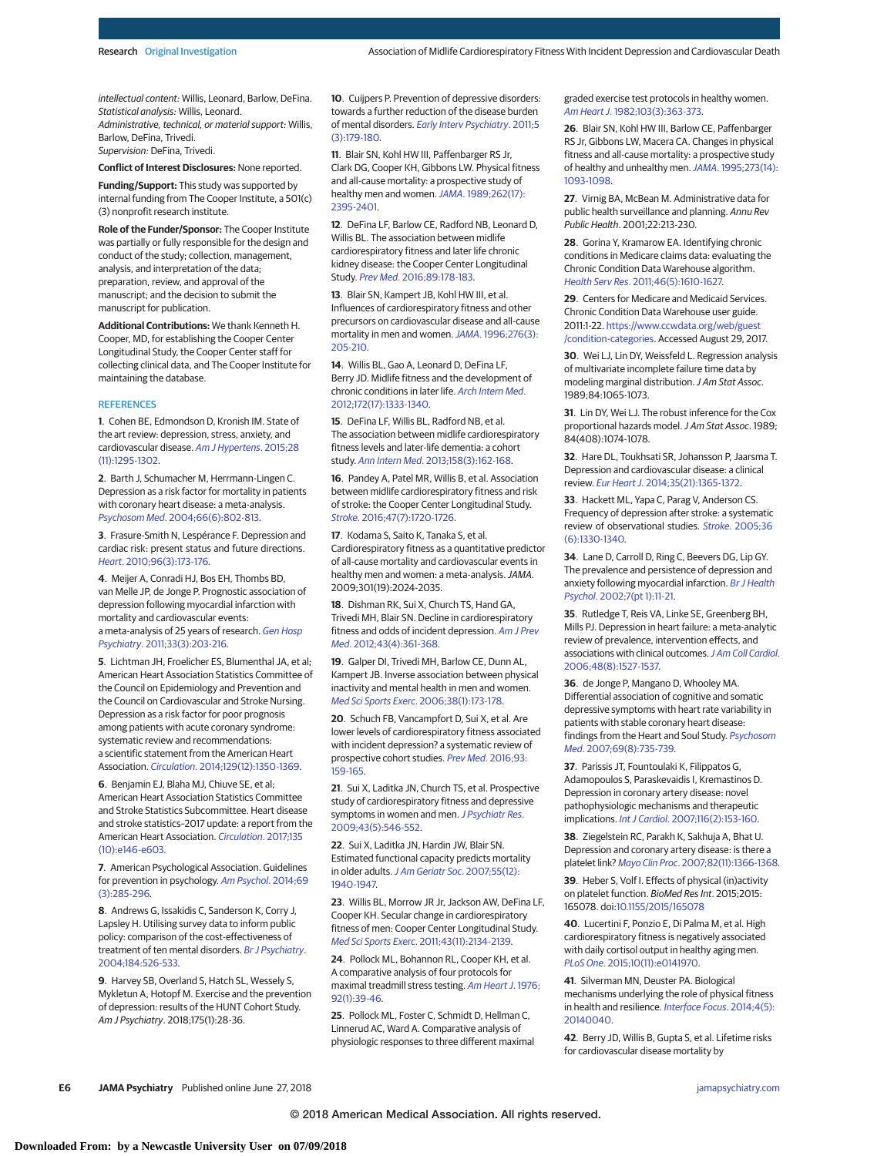intellectual content: Willis, Leonard, Barlow, DeFina. Statistical analysis: Willis, Leonard. Administrative, technical, or material support: Willis, Barlow, DeFina, Trivedi. Supervision: DeFina, Trivedi.

**Conflict of Interest Disclosures:** None reported.

**Funding/Support:** This study was supported by internal funding from The Cooper Institute, a 501(c) (3) nonprofit research institute.

**Role of the Funder/Sponsor:** The Cooper Institute was partially or fully responsible for the design and conduct of the study; collection, management, analysis, and interpretation of the data; preparation, review, and approval of the manuscript; and the decision to submit the manuscript for publication.

**Additional Contributions:** We thank Kenneth H. Cooper, MD, for establishing the Cooper Center Longitudinal Study, the Cooper Center staff for collecting clinical data, and The Cooper Institute for maintaining the database.

#### **REFERENCES**

**1**. Cohen BE, Edmondson D, Kronish IM. State of the art review: depression, stress, anxiety, and cardiovascular disease. [Am J Hypertens](https://www.ncbi.nlm.nih.gov/pubmed/25911639). 2015;28 [\(11\):1295-1302.](https://www.ncbi.nlm.nih.gov/pubmed/25911639)

**2**. Barth J, Schumacher M, Herrmann-Lingen C. Depression as a risk factor for mortality in patients with coronary heart disease: a meta-analysis. Psychosom Med[. 2004;66\(6\):802-813.](https://www.ncbi.nlm.nih.gov/pubmed/15564343)

**3**. Frasure-Smith N, Lespérance F. Depression and cardiac risk: present status and future directions. Heart[. 2010;96\(3\):173-176.](https://www.ncbi.nlm.nih.gov/pubmed/19861300)

**4**. Meijer A, Conradi HJ, Bos EH, Thombs BD, van Melle JP, de Jonge P. Prognostic association of depression following myocardial infarction with mortality and cardiovascular events: a meta-analysis of 25 years of research. [Gen Hosp](https://www.ncbi.nlm.nih.gov/pubmed/21601716) Psychiatry[. 2011;33\(3\):203-216.](https://www.ncbi.nlm.nih.gov/pubmed/21601716)

**5**. Lichtman JH, Froelicher ES, Blumenthal JA, et al; American Heart Association Statistics Committee of the Council on Epidemiology and Prevention and the Council on Cardiovascular and Stroke Nursing. Depression as a risk factor for poor prognosis among patients with acute coronary syndrome: systematic review and recommendations: a scientific statement from the American Heart Association. Circulation[. 2014;129\(12\):1350-1369.](https://www.ncbi.nlm.nih.gov/pubmed/24566200)

**6**. Benjamin EJ, Blaha MJ, Chiuve SE, et al; American Heart Association Statistics Committee and Stroke Statistics Subcommittee. Heart disease and stroke statistics–2017 update: a report from the American Heart Association. [Circulation](https://www.ncbi.nlm.nih.gov/pubmed/28122885). 2017;135 [\(10\):e146-e603.](https://www.ncbi.nlm.nih.gov/pubmed/28122885)

**7**. American Psychological Association. Guidelines for prevention in psychology. [Am Psychol](https://www.ncbi.nlm.nih.gov/pubmed/24188360). 2014;69 [\(3\):285-296.](https://www.ncbi.nlm.nih.gov/pubmed/24188360)

**8**. Andrews G, Issakidis C, Sanderson K, Corry J, Lapsley H. Utilising survey data to inform public policy: comparison of the cost-effectiveness of treatment of ten mental disorders. [Br J Psychiatry](https://www.ncbi.nlm.nih.gov/pubmed/15172947). [2004;184:526-533.](https://www.ncbi.nlm.nih.gov/pubmed/15172947)

**9**. Harvey SB, Overland S, Hatch SL, Wessely S, Mykletun A, Hotopf M. Exercise and the prevention of depression: results of the HUNT Cohort Study. Am J Psychiatry. 2018;175(1):28-36.

**10**. Cuijpers P. Prevention of depressive disorders: towards a further reduction of the disease burden of mental disorders. [Early Interv Psychiatry](https://www.ncbi.nlm.nih.gov/pubmed/21791028). 2011;5 [\(3\):179-180.](https://www.ncbi.nlm.nih.gov/pubmed/21791028)

**11**. Blair SN, Kohl HW III, Paffenbarger RS Jr, Clark DG, Cooper KH, Gibbons LW. Physical fitness and all-cause mortality: a prospective study of healthy men and women. JAMA[. 1989;262\(17\):](https://www.ncbi.nlm.nih.gov/pubmed/2795824) [2395-2401.](https://www.ncbi.nlm.nih.gov/pubmed/2795824)

**12**. DeFina LF, Barlow CE, Radford NB, Leonard D, Willis BL. The association between midlife cardiorespiratory fitness and later life chronic kidney disease: the Cooper Center Longitudinal Study. Prev Med[. 2016;89:178-183.](https://www.ncbi.nlm.nih.gov/pubmed/27261408)

**13**. Blair SN, Kampert JB, Kohl HW III, et al. Influences of cardiorespiratory fitness and other precursors on cardiovascular disease and all-cause mortality in men and women.JAMA[. 1996;276\(3\):](https://www.ncbi.nlm.nih.gov/pubmed/8667564) [205-210.](https://www.ncbi.nlm.nih.gov/pubmed/8667564)

**14**. Willis BL, Gao A, Leonard D, DeFina LF, Berry JD. Midlife fitness and the development of chronic conditions in later life. [Arch Intern Med](https://www.ncbi.nlm.nih.gov/pubmed/22928178). [2012;172\(17\):1333-1340.](https://www.ncbi.nlm.nih.gov/pubmed/22928178)

**15**. DeFina LF, Willis BL, Radford NB, et al. The association between midlife cardiorespiratory fitness levels and later-life dementia: a cohort study. Ann Intern Med[. 2013;158\(3\):162-168.](https://www.ncbi.nlm.nih.gov/pubmed/23381040)

**16**. Pandey A, Patel MR, Willis B, et al. Association between midlife cardiorespiratory fitness and risk of stroke: the Cooper Center Longitudinal Study. Stroke[. 2016;47\(7\):1720-1726.](https://www.ncbi.nlm.nih.gov/pubmed/27283202)

**17**. Kodama S, Saito K, Tanaka S, et al. Cardiorespiratory fitness as a quantitative predictor of all-cause mortality and cardiovascular events in healthy men and women: a meta-analysis.JAMA. 2009;301(19):2024-2035.

**18**. Dishman RK, Sui X, Church TS, Hand GA, Trivedi MH, Blair SN. Decline in cardiorespiratory fitness and odds of incident depression. [Am J Prev](https://www.ncbi.nlm.nih.gov/pubmed/22992353) Med[. 2012;43\(4\):361-368.](https://www.ncbi.nlm.nih.gov/pubmed/22992353)

**19**. Galper DI, Trivedi MH, Barlow CE, Dunn AL, Kampert JB. Inverse association between physical inactivity and mental health in men and women. Med Sci Sports Exerc[. 2006;38\(1\):173-178.](https://www.ncbi.nlm.nih.gov/pubmed/16394971)

**20**. Schuch FB, Vancampfort D, Sui X, et al. Are lower levels of cardiorespiratory fitness associated with incident depression? a systematic review of prospective cohort studies. Prev Med[. 2016;93:](https://www.ncbi.nlm.nih.gov/pubmed/27765659) [159-165.](https://www.ncbi.nlm.nih.gov/pubmed/27765659)

**21**. Sui X, Laditka JN, Church TS, et al. Prospective study of cardiorespiratory fitness and depressive symptoms in women and men. [J Psychiatr Res](https://www.ncbi.nlm.nih.gov/pubmed/18845305). [2009;43\(5\):546-552.](https://www.ncbi.nlm.nih.gov/pubmed/18845305)

**22**. Sui X, Laditka JN, Hardin JW, Blair SN. Estimated functional capacity predicts mortality in older adults. [J Am Geriatr Soc](https://www.ncbi.nlm.nih.gov/pubmed/17979958). 2007;55(12): [1940-1947.](https://www.ncbi.nlm.nih.gov/pubmed/17979958)

**23**. Willis BL, Morrow JR Jr, Jackson AW, DeFina LF, Cooper KH. Secular change in cardiorespiratory fitness of men: Cooper Center Longitudinal Study. Med Sci Sports Exerc[. 2011;43\(11\):2134-2139.](https://www.ncbi.nlm.nih.gov/pubmed/21448076)

**24**. Pollock ML, Bohannon RL, Cooper KH, et al. A comparative analysis of four protocols for maximal treadmill stress testing. [Am Heart J](https://www.ncbi.nlm.nih.gov/pubmed/961576). 1976; [92\(1\):39-46.](https://www.ncbi.nlm.nih.gov/pubmed/961576)

**25**. Pollock ML, Foster C, Schmidt D, Hellman C, Linnerud AC, Ward A. Comparative analysis of physiologic responses to three different maximal graded exercise test protocols in healthy women. Am Heart J[. 1982;103\(3\):363-373.](https://www.ncbi.nlm.nih.gov/pubmed/7064770)

**26**. Blair SN, Kohl HW III, Barlow CE, Paffenbarger RS Jr, Gibbons LW, Macera CA. Changes in physical fitness and all-cause mortality: a prospective study of healthy and unhealthy men. JAMA[. 1995;273\(14\):](https://www.ncbi.nlm.nih.gov/pubmed/7707596) [1093-1098.](https://www.ncbi.nlm.nih.gov/pubmed/7707596)

**27**. Virnig BA, McBean M. Administrative data for public health surveillance and planning. Annu Rev Public Health. 2001;22:213-230.

**28**. Gorina Y, Kramarow EA. Identifying chronic conditions in Medicare claims data: evaluating the Chronic Condition Data Warehouse algorithm. Health Serv Res[. 2011;46\(5\):1610-1627.](https://www.ncbi.nlm.nih.gov/pubmed/21649659)

**29**. Centers for Medicare and Medicaid Services. Chronic Condition Data Warehouse user guide. 2011:1-22. [https://www.ccwdata.org/web/guest](https://www.ccwdata.org/web/guest/condition-categories) [/condition-categories.](https://www.ccwdata.org/web/guest/condition-categories) Accessed August 29, 2017.

**30**. Wei LJ, Lin DY, Weissfeld L. Regression analysis of multivariate incomplete failure time data by modeling marginal distribution.J Am Stat Assoc. 1989;84:1065-1073.

**31**. Lin DY, Wei LJ. The robust inference for the Cox proportional hazards model.J Am Stat Assoc. 1989; 84(408):1074-1078.

**32**. Hare DL, Toukhsati SR, Johansson P, Jaarsma T. Depression and cardiovascular disease: a clinical review. Eur Heart J[. 2014;35\(21\):1365-1372.](https://www.ncbi.nlm.nih.gov/pubmed/24282187)

**33**. Hackett ML, Yapa C, Parag V, Anderson CS. Frequency of depression after stroke: a systematic review of observational studies. Stroke[. 2005;36](https://www.ncbi.nlm.nih.gov/pubmed/15879342) [\(6\):1330-1340.](https://www.ncbi.nlm.nih.gov/pubmed/15879342)

**34**. Lane D, Carroll D, Ring C, Beevers DG, Lip GY. The prevalence and persistence of depression and anxiety following myocardial infarction. [Br J Health](https://www.ncbi.nlm.nih.gov/pubmed/14596714) Psychol[. 2002;7\(pt 1\):11-21.](https://www.ncbi.nlm.nih.gov/pubmed/14596714)

**35**. Rutledge T, Reis VA, Linke SE, Greenberg BH, Mills PJ. Depression in heart failure: a meta-analytic review of prevalence, intervention effects, and associations with clinical outcomes. [J Am Coll Cardiol](https://www.ncbi.nlm.nih.gov/pubmed/17045884). [2006;48\(8\):1527-1537.](https://www.ncbi.nlm.nih.gov/pubmed/17045884)

**36**. de Jonge P, Mangano D, Whooley MA. Differential association of cognitive and somatic depressive symptoms with heart rate variability in patients with stable coronary heart disease: findings from the Heart and Soul Study. [Psychosom](https://www.ncbi.nlm.nih.gov/pubmed/17942844) Med[. 2007;69\(8\):735-739.](https://www.ncbi.nlm.nih.gov/pubmed/17942844)

**37**. Parissis JT, Fountoulaki K, Filippatos G, Adamopoulos S, Paraskevaidis I, Kremastinos D. Depression in coronary artery disease: novel pathophysiologic mechanisms and therapeutic implications. Int J Cardiol[. 2007;116\(2\):153-160.](https://www.ncbi.nlm.nih.gov/pubmed/16822560)

**38**. Ziegelstein RC, Parakh K, Sakhuja A, Bhat U. Depression and coronary artery disease: is there a platelet link? Mayo Clin Proc[. 2007;82\(11\):1366-1368.](https://www.ncbi.nlm.nih.gov/pubmed/17976357)

**39**. Heber S, Volf I. Effects of physical (in)activity on platelet function. BioMed Res Int. 2015;2015: 165078. doi[:10.1155/2015/165078](https://dx.doi.org/10.1155/2015/165078)

**40**. Lucertini F, Ponzio E, Di Palma M, et al. High cardiorespiratory fitness is negatively associated with daily cortisol output in healthy aging men. PLoS One[. 2015;10\(11\):e0141970.](https://www.ncbi.nlm.nih.gov/pubmed/26529517)

**41**. Silverman MN, Deuster PA. Biological mechanisms underlying the role of physical fitness in health and resilience. [Interface Focus](https://www.ncbi.nlm.nih.gov/pubmed/25285199). 2014;4(5): [20140040.](https://www.ncbi.nlm.nih.gov/pubmed/25285199)

**42**. Berry JD, Willis B, Gupta S, et al. Lifetime risks for cardiovascular disease mortality by